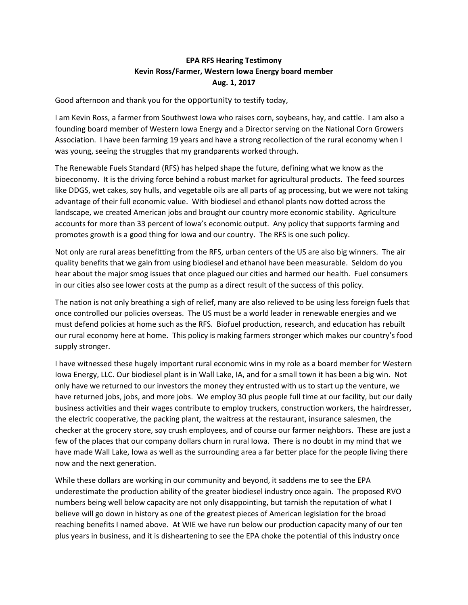## **EPA RFS Hearing Testimony Kevin Ross/Farmer, Western Iowa Energy board member Aug. 1, 2017**

Good afternoon and thank you for the opportunity to testify today,

I am Kevin Ross, a farmer from Southwest Iowa who raises corn, soybeans, hay, and cattle. I am also a founding board member of Western Iowa Energy and a Director serving on the National Corn Growers Association. I have been farming 19 years and have a strong recollection of the rural economy when I was young, seeing the struggles that my grandparents worked through.

The Renewable Fuels Standard (RFS) has helped shape the future, defining what we know as the bioeconomy. It is the driving force behind a robust market for agricultural products. The feed sources like DDGS, wet cakes, soy hulls, and vegetable oils are all parts of ag processing, but we were not taking advantage of their full economic value. With biodiesel and ethanol plants now dotted across the landscape, we created American jobs and brought our country more economic stability. Agriculture accounts for more than 33 percent of Iowa's economic output. Any policy that supports farming and promotes growth is a good thing for Iowa and our country. The RFS is one such policy.

Not only are rural areas benefitting from the RFS, urban centers of the US are also big winners. The air quality benefits that we gain from using biodiesel and ethanol have been measurable. Seldom do you hear about the major smog issues that once plagued our cities and harmed our health. Fuel consumers in our cities also see lower costs at the pump as a direct result of the success of this policy.

The nation is not only breathing a sigh of relief, many are also relieved to be using less foreign fuels that once controlled our policies overseas. The US must be a world leader in renewable energies and we must defend policies at home such as the RFS. Biofuel production, research, and education has rebuilt our rural economy here at home. This policy is making farmers stronger which makes our country's food supply stronger.

I have witnessed these hugely important rural economic wins in my role as a board member for Western Iowa Energy, LLC. Our biodiesel plant is in Wall Lake, IA, and for a small town it has been a big win. Not only have we returned to our investors the money they entrusted with us to start up the venture, we have returned jobs, jobs, and more jobs. We employ 30 plus people full time at our facility, but our daily business activities and their wages contribute to employ truckers, construction workers, the hairdresser, the electric cooperative, the packing plant, the waitress at the restaurant, insurance salesmen, the checker at the grocery store, soy crush employees, and of course our farmer neighbors. These are just a few of the places that our company dollars churn in rural Iowa. There is no doubt in my mind that we have made Wall Lake, Iowa as well as the surrounding area a far better place for the people living there now and the next generation.

While these dollars are working in our community and beyond, it saddens me to see the EPA underestimate the production ability of the greater biodiesel industry once again. The proposed RVO numbers being well below capacity are not only disappointing, but tarnish the reputation of what I believe will go down in history as one of the greatest pieces of American legislation for the broad reaching benefits I named above. At WIE we have run below our production capacity many of our ten plus years in business, and it is disheartening to see the EPA choke the potential of this industry once